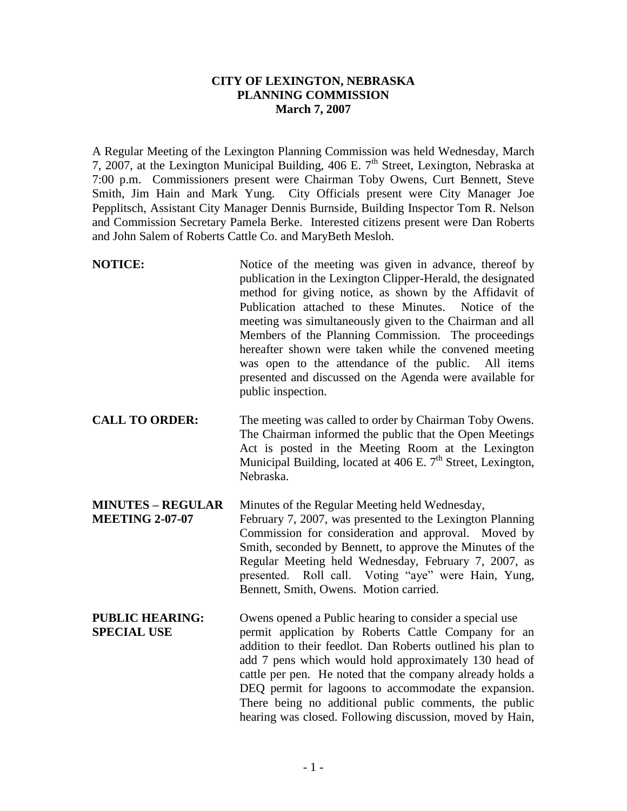## **CITY OF LEXINGTON, NEBRASKA PLANNING COMMISSION March 7, 2007**

A Regular Meeting of the Lexington Planning Commission was held Wednesday, March 7, 2007, at the Lexington Municipal Building, 406 E.  $7<sup>th</sup>$  Street, Lexington, Nebraska at 7:00 p.m. Commissioners present were Chairman Toby Owens, Curt Bennett, Steve Smith, Jim Hain and Mark Yung. City Officials present were City Manager Joe Pepplitsch, Assistant City Manager Dennis Burnside, Building Inspector Tom R. Nelson and Commission Secretary Pamela Berke. Interested citizens present were Dan Roberts and John Salem of Roberts Cattle Co. and MaryBeth Mesloh.

- **NOTICE:** Notice of the meeting was given in advance, thereof by publication in the Lexington Clipper-Herald, the designated method for giving notice, as shown by the Affidavit of Publication attached to these Minutes. Notice of the meeting was simultaneously given to the Chairman and all Members of the Planning Commission. The proceedings hereafter shown were taken while the convened meeting was open to the attendance of the public. All items presented and discussed on the Agenda were available for public inspection.
- **CALL TO ORDER:** The meeting was called to order by Chairman Toby Owens. The Chairman informed the public that the Open Meetings Act is posted in the Meeting Room at the Lexington Municipal Building, located at  $\overline{406}$  E. 7<sup>th</sup> Street, Lexington, Nebraska.

**MINUTES – REGULAR** Minutes of the Regular Meeting held Wednesday, **MEETING 2-07-07** February 7, 2007, was presented to the Lexington Planning Commission for consideration and approval. Moved by Smith, seconded by Bennett, to approve the Minutes of the Regular Meeting held Wednesday, February 7, 2007, as presented. Roll call. Voting "aye" were Hain, Yung, Bennett, Smith, Owens. Motion carried.

**PUBLIC HEARING:** Owens opened a Public hearing to consider a special use **SPECIAL USE** permit application by Roberts Cattle Company for an addition to their feedlot. Dan Roberts outlined his plan to add 7 pens which would hold approximately 130 head of cattle per pen. He noted that the company already holds a DEQ permit for lagoons to accommodate the expansion. There being no additional public comments, the public hearing was closed. Following discussion, moved by Hain,